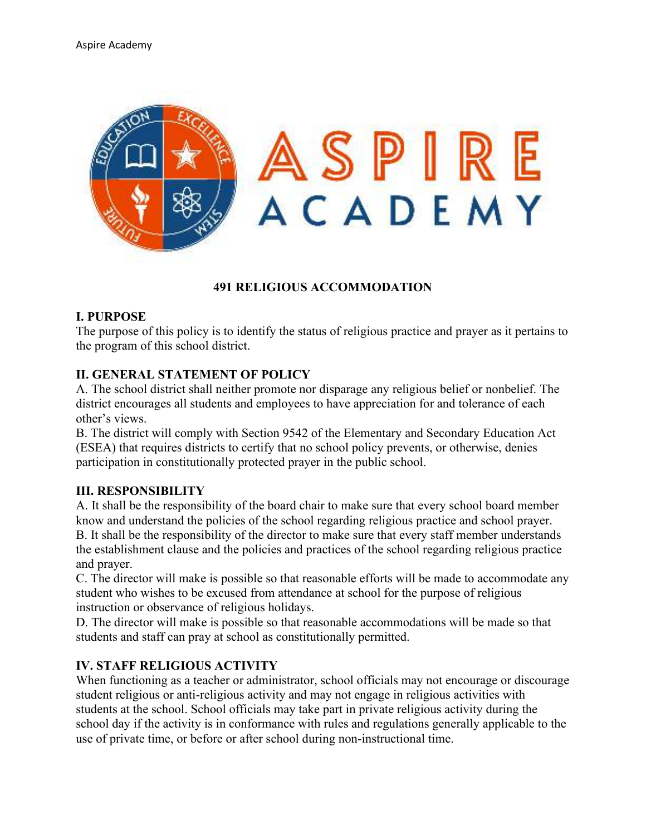

#### **491 RELIGIOUS ACCOMMODATION**

#### **I. PURPOSE**

The purpose of this policy is to identify the status of religious practice and prayer as it pertains to the program of this school district.

#### **II. GENERAL STATEMENT OF POLICY**

A. The school district shall neither promote nor disparage any religious belief or nonbelief. The district encourages all students and employees to have appreciation for and tolerance of each other's views.

B. The district will comply with Section 9542 of the Elementary and Secondary Education Act (ESEA) that requires districts to certify that no school policy prevents, or otherwise, denies participation in constitutionally protected prayer in the public school.

#### **III. RESPONSIBILITY**

A. It shall be the responsibility of the board chair to make sure that every school board member know and understand the policies of the school regarding religious practice and school prayer. B. It shall be the responsibility of the director to make sure that every staff member understands the establishment clause and the policies and practices of the school regarding religious practice and prayer.

C. The director will make is possible so that reasonable efforts will be made to accommodate any student who wishes to be excused from attendance at school for the purpose of religious instruction or observance of religious holidays.

D. The director will make is possible so that reasonable accommodations will be made so that students and staff can pray at school as constitutionally permitted.

#### **IV. STAFF RELIGIOUS ACTIVITY**

When functioning as a teacher or administrator, school officials may not encourage or discourage student religious or anti-religious activity and may not engage in religious activities with students at the school. School officials may take part in private religious activity during the school day if the activity is in conformance with rules and regulations generally applicable to the use of private time, or before or after school during non-instructional time.